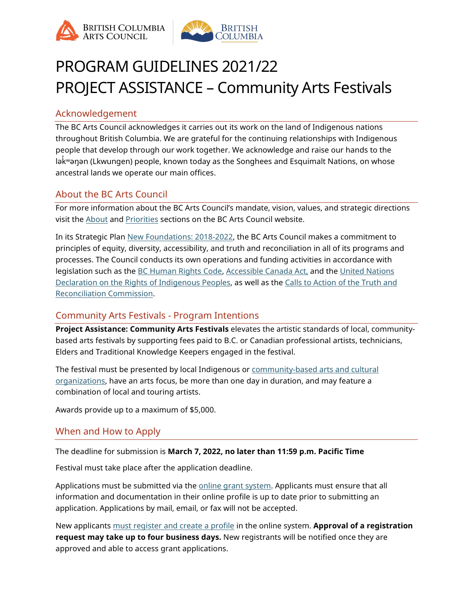



# PROGRAM GUIDELINES 2021/22 PROJECT ASSISTANCE – Community Arts Festivals

# Acknowledgement

The BC Arts Council acknowledges it carries out its work on the land of Indigenous nations throughout British Columbia. We are grateful for the continuing relationships with Indigenous people that develop through our work together. We acknowledge and raise our hands to the lək ̓ ʷəŋən (Lkwungen) people, known today as the Songhees and Esquimalt Nations, on whose ancestral lands we operate our main offices.

# About the BC Arts Council

For more information about the BC Arts Council's mandate, vision, values, and strategic directions visit the **About and [Priorities](https://www.bcartscouncil.ca/priorities/) sections on the BC** Arts Council website.

In its Strategic Plan [New Foundations: 2018-2022,](https://www.bcartscouncil.ca/app/uploads/sites/508/2019/06/2018_22_StratPlan.pdf) the BC Arts Council makes a commitment to principles of equity, diversity, accessibility, and truth and reconciliation in all of its programs and processes. The Council conducts its own operations and funding activities in accordance with legislation such as the [BC Human Rights Code,](https://www2.gov.bc.ca/assets/gov/law-crime-and-justice/human-rights/human-rights-protection/what-you-need-to-know.pdf) [Accessible Canada Act,](https://laws-lois.justice.gc.ca/eng/acts/A-0.6/) and the [United Nations](http://www.un.org/esa/socdev/unpfii/documents/DRIPS_en.pdf)  [Declaration on the Rights of Indigenous Peoples,](http://www.un.org/esa/socdev/unpfii/documents/DRIPS_en.pdf) as well as the [Calls to Action of the Truth and](https://www2.gov.bc.ca/assets/gov/british-columbians-our-governments/indigenous-people/aboriginal-peoples-documents/calls_to_action_english2.pdf)  [Reconciliation Commission.](https://www2.gov.bc.ca/assets/gov/british-columbians-our-governments/indigenous-people/aboriginal-peoples-documents/calls_to_action_english2.pdf)

# Community Arts Festivals - Program Intentions

**Project Assistance: Community Arts Festivals** elevates the artistic standards of local, communitybased arts festivals by supporting fees paid to B.C. or Canadian professional artists, technicians, Elders and Traditional Knowledge Keepers engaged in the festival.

The festival must be presented by local Indigenous or [community-based arts and cultural](https://www.bcartscouncil.ca/community-arts-and-cultural-organization-definition/)  [organizations,](https://www.bcartscouncil.ca/community-arts-and-cultural-organization-definition/) have an arts focus, be more than one day in duration, and may feature a combination of local and touring artists.

Awards provide up to a maximum of \$5,000.

# When and How to Apply

The deadline for submission is **March 7, 2022, no later than 11:59 p.m. Pacific Time**

Festival must take place after the application deadline.

Applications must be submitted via the [online grant system.](https://bcac.smartsimple.ca/s_Login.jsp) Applicants must ensure that all information and documentation in their online profile is up to date prior to submitting an application. Applications by mail, email, or fax will not be accepted.

New applicants [must register and create a profile](https://www.bcartscouncil.ca/how-to-apply-online/) in the online system. **Approval of a registration request may take up to four business days.** New registrants will be notified once they are approved and able to access grant applications.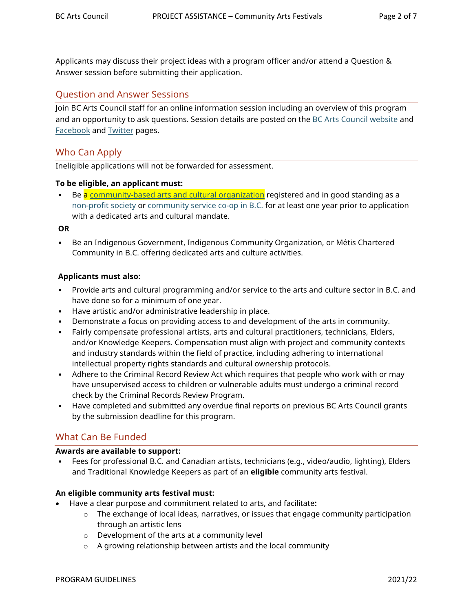Applicants may discuss their project ideas with a program officer and/or attend a Question & Answer session before submitting their application.

## Question and Answer Sessions

Join BC Arts Council staff for an online information session including an overview of this program and an opportunity to ask questions. Session details are posted on the [BC Arts Council website](https://www.bcartscouncil.ca/news/) and [Facebook](https://www.facebook.com/BritishColumbiaArtsCouncil) and [Twitter](https://twitter.com/BCArtsCouncil) pages.

### Who Can Apply

Ineligible applications will not be forwarded for assessment.

#### **To be eligible, an applicant must:**

Be a [community-based arts and cultural organization](https://www.bcartscouncil.ca/community-arts-and-cultural-organization-definition/) registered and in good standing as a [non-profit society](https://www2.gov.bc.ca/gov/content/employment-business/business/not-for-profit-organizations) or [community service co-op in B.C.](https://www2.gov.bc.ca/gov/content/employment-business/business/managing-a-business/permits-licences/businesses-incorporated-companies/cooperative-associations) for at least one year prior to application with a dedicated arts and cultural mandate.

#### **OR**

• Be an Indigenous Government, Indigenous Community Organization, or Métis Chartered Community in B.C. offering dedicated arts and culture activities.

#### **Applicants must also:**

- Provide arts and cultural programming and/or service to the arts and culture sector in B.C. and have done so for a minimum of one year.
- Have artistic and/or administrative leadership in place.
- Demonstrate a focus on providing access to and development of the arts in community.
- Fairly compensate professional artists, arts and cultural practitioners, technicians, Elders, and/or Knowledge Keepers. Compensation must align with project and community contexts and industry standards within the field of practice, including adhering to international intellectual property rights standards and cultural ownership protocols.
- Adhere to the Criminal Record Review Act which requires that people who work with or may have unsupervised access to children or vulnerable adults must undergo a criminal record check by the Criminal Records Review Program.
- Have completed and submitted any overdue final reports on previous BC Arts Council grants by the submission deadline for this program.

## What Can Be Funded

#### **Awards are available to support:**

• Fees for professional B.C. and Canadian artists, technicians (e.g., video/audio, lighting), Elders and Traditional Knowledge Keepers as part of an **eligible** community arts festival.

#### **An eligible community arts festival must:**

- Have a clear purpose and commitment related to arts, and facilitate**:**
	- $\circ$  The exchange of local ideas, narratives, or issues that engage community participation through an artistic lens
	- o Development of the arts at a community level
	- o A growing relationship between artists and the local community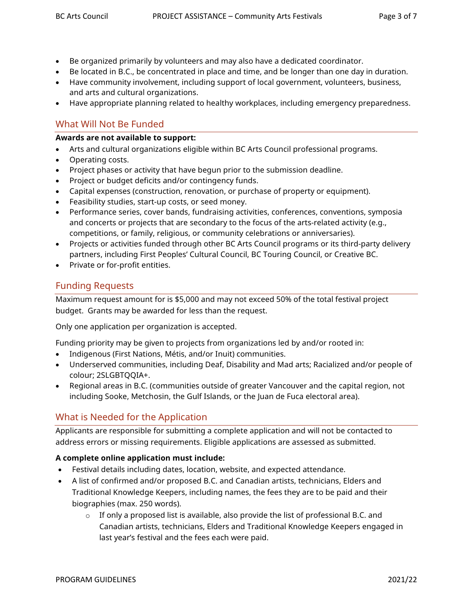- Be organized primarily by volunteers and may also have a dedicated coordinator.
- Be located in B.C., be concentrated in place and time, and be longer than one day in duration.
- Have community involvement, including support of local government, volunteers, business, and arts and cultural organizations.
- Have appropriate planning related to healthy workplaces, including emergency preparedness.

# What Will Not Be Funded

#### **Awards are not available to support:**

- Arts and cultural organizations eligible within BC Arts Council professional programs.
- Operating costs.
- Project phases or activity that have begun prior to the submission deadline.
- Project or budget deficits and/or contingency funds.
- [Capital expenses](https://www.bcartscouncil.ca/what-are-capital-expenses/) (construction, renovation, or purchase of property or equipment).
- Feasibility studies, start-up costs, or seed money.
- Performance series, cover bands, fundraising activities, conferences, conventions, symposia and concerts or projects that are secondary to the focus of the arts-related activity (e.g., competitions, or family, religious, or community celebrations or anniversaries).
- Projects or activities funded through other BC Arts Council programs or its third-party delivery partners, including First Peoples' Cultural Council, BC Touring Council, or Creative BC.
- Private or for-profit entities.

# Funding Requests

Maximum request amount for is \$5,000 and may not exceed 50% of the total festival project budget. Grants may be awarded for less than the request.

Only one application per organization is accepted.

Funding priority may be given to projects from organizations led by and/or rooted in:

- Indigenous (First Nations, Métis, and/or Inuit) communities.
- Underserved communities, including Deaf, Disability and Mad arts; Racialized and/or people of colour; 2SLGBTQQIA+.
- Regional areas in B.C. (communities outside of greater Vancouver and the capital region, not including Sooke, Metchosin, the Gulf Islands, or the Juan de Fuca electoral area).

# What is Needed for the Application

Applicants are responsible for submitting a complete application and will not be contacted to address errors or missing requirements. Eligible applications are assessed as submitted.

### **A complete online application must include:**

- Festival details including dates, location, website, and expected attendance.
- A list of confirmed and/or proposed B.C. and Canadian artists, technicians, Elders and Traditional Knowledge Keepers, including names, the fees they are to be paid and their biographies (max. 250 words).
	- $\circ$  If only a proposed list is available, also provide the list of professional B.C. and Canadian artists, technicians, Elders and Traditional Knowledge Keepers engaged in last year's festival and the fees each were paid.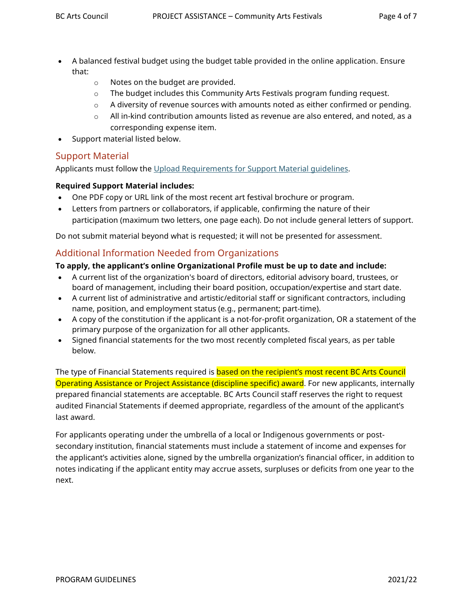- A balanced festival budget using the budget table provided in the online application. Ensure that:
	- o Notes on the budget are provided.
	- o The budget includes this Community Arts Festivals program funding request.
	- $\circ$  A diversity of revenue sources with amounts noted as either confirmed or pending.
	- $\circ$  All in-kind contribution amounts listed as revenue are also entered, and noted, as a corresponding expense item.
- Support material listed below.

## Support Material

Applicants must follow the [Upload Requirements for Support Material guidelines.](http://www.bcartscouncil.ca/app/uploads/sites/508/2020/09/Upload-Requirements-for-Supporting-Material.pdf)

#### **Required Support Material includes:**

- One PDF copy or URL link of the most recent art festival brochure or program.
- Letters from partners or collaborators, if applicable, confirming the nature of their participation (maximum two letters, one page each). Do not include general letters of support.

Do not submit material beyond what is requested; it will not be presented for assessment.

## Additional Information Needed from Organizations

### **To apply, the applicant's online Organizational Profile must be up to date and include:**

- A current list of the organization's board of directors, editorial advisory board, trustees, or board of management, including their board position, occupation/expertise and start date.
- A current list of administrative and artistic/editorial staff or significant contractors, including name, position, and employment status (e.g., permanent; part-time).
- A copy of the constitution if the applicant is a not-for-profit organization, OR a statement of the primary purpose of the organization for all other applicants.
- Signed financial statements for the two most recently completed fiscal years, as per table below.

The type of Financial Statements required is **based on the recipient's most recent BC Arts Council** Operating Assistance or Project Assistance (discipline specific) award. For new applicants, internally prepared financial statements are acceptable. BC Arts Council staff reserves the right to request audited Financial Statements if deemed appropriate, regardless of the amount of the applicant's last award.

For applicants operating under the umbrella of a local or Indigenous governments or postsecondary institution, financial statements must include a statement of income and expenses for the applicant's activities alone, signed by the umbrella organization's financial officer, in addition to notes indicating if the applicant entity may accrue assets, surpluses or deficits from one year to the next.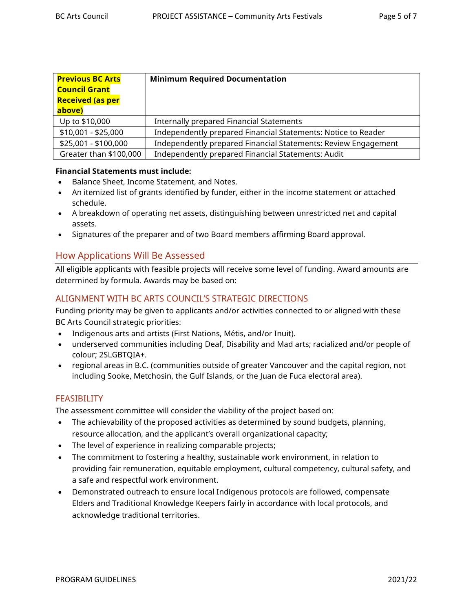| <b>Previous BC Arts</b> | <b>Minimum Required Documentation</b>                          |
|-------------------------|----------------------------------------------------------------|
| <b>Council Grant</b>    |                                                                |
| <b>Received (as per</b> |                                                                |
| above)                  |                                                                |
| Up to \$10,000          | Internally prepared Financial Statements                       |
| \$10,001 - \$25,000     | Independently prepared Financial Statements: Notice to Reader  |
| \$25,001 - \$100,000    | Independently prepared Financial Statements: Review Engagement |
| Greater than \$100,000  | Independently prepared Financial Statements: Audit             |

#### **Financial Statements must include:**

- Balance Sheet, Income Statement, and Notes.
- An itemized list of grants identified by funder, either in the income statement or attached schedule.
- A breakdown of operating net assets, distinguishing between unrestricted net and capital assets.
- Signatures of the preparer and of two Board members affirming Board approval.

## How Applications Will Be Assessed

All eligible applicants with feasible projects will receive some level of funding. Award amounts are determined by formula. Awards may be based on:

## ALIGNMENT WITH BC ARTS COUNCIL'S STRATEGIC DIRECTIONS

Funding priority may be given to applicants and/or activities connected to or aligned with these BC Arts Council strategic priorities:

- Indigenous arts and artists (First Nations, Métis, and/or Inuit).
- underserved communities including Deaf, Disability and Mad arts; racialized and/or people of colour; 2SLGBTQIA+.
- regional areas in B.C. (communities outside of greater Vancouver and the capital region, not including Sooke, Metchosin, the Gulf Islands, or the Juan de Fuca electoral area).

### **FEASIBILITY**

The assessment committee will consider the viability of the project based on:

- The achievability of the proposed activities as determined by sound budgets, planning, resource allocation, and the applicant's overall organizational capacity;
- The level of experience in realizing comparable projects;
- The commitment to fostering a healthy, sustainable work environment, in relation to providing fair remuneration, equitable employment, cultural competency, cultural safety, and a safe and respectful work environment.
- Demonstrated outreach to ensure local Indigenous protocols are followed, compensate Elders and Traditional Knowledge Keepers fairly in accordance with local protocols, and acknowledge traditional territories.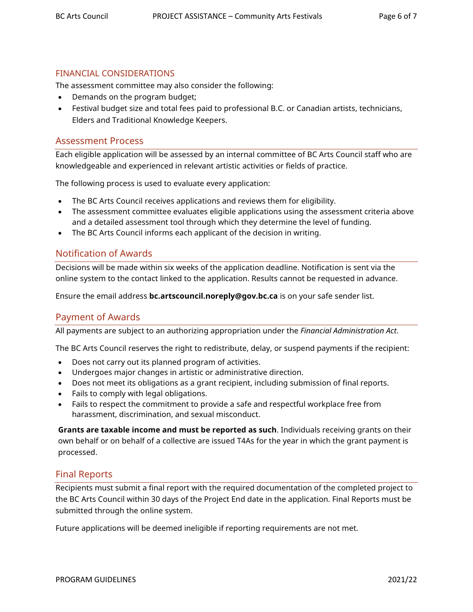#### FINANCIAL CONSIDERATIONS

The assessment committee may also consider the following:

- Demands on the program budget;
- Festival budget size and total fees paid to professional B.C. or Canadian artists, technicians, Elders and Traditional Knowledge Keepers.

#### Assessment Process

Each eligible application will be assessed by an internal committee of BC Arts Council staff who are knowledgeable and experienced in relevant artistic activities or fields of practice.

The following process is used to evaluate every application:

- The BC Arts Council receives applications and reviews them for eligibility.
- The assessment committee evaluates eligible applications using the assessment criteria above and a detailed assessment tool through which they determine the level of funding.
- The BC Arts Council informs each applicant of the decision in writing.

## Notification of Awards

Decisions will be made within six weeks of the application deadline. Notification is sent via the online system to the contact linked to the application. Results cannot be requested in advance.

Ensure the email address **bc.artscouncil.noreply@gov.bc.ca** is on your safe sender list.

### Payment of Awards

All payments are subject to an authorizing appropriation under the *Financial Administration Act*.

The BC Arts Council reserves the right to redistribute, delay, or suspend payments if the recipient:

- Does not carry out its planned program of activities.
- Undergoes major changes in artistic or administrative direction.
- Does not meet its obligations as a grant recipient, including submission of final reports.
- Fails to comply with legal obligations.
- Fails to respect the commitment to provide a safe and respectful workplace free from harassment, discrimination, and sexual misconduct.

**Grants are taxable income and must be reported as such**. Individuals receiving grants on their own behalf or on behalf of a collective are issued T4As for the year in which the grant payment is processed.

### Final Reports

Recipients must submit a final report with the required documentation of the completed project to the BC Arts Council within 30 days of the Project End date in the application. Final Reports must be submitted through the online system.

Future applications will be deemed ineligible if reporting requirements are not met.